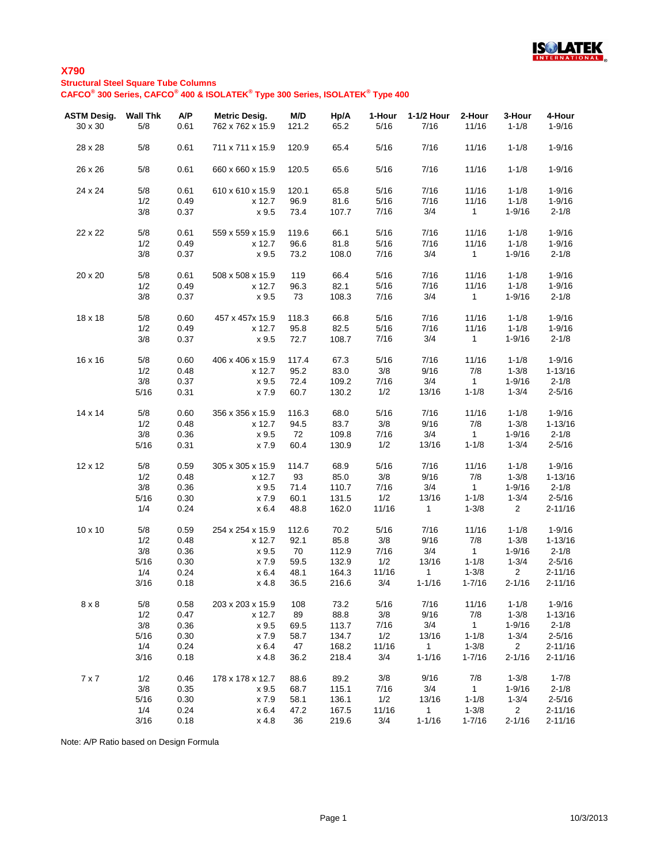

## **X790 Structural Steel Square Tube Columns CAFCO® 300 Series, CAFCO® 400 & ISOLATEK® Type 300 Series, ISOLATEK® Type 400**

| <b>ASTM Desig.</b><br>30 x 30 | <b>Wall Thk</b><br>5/8 | A/P<br>0.61 | <b>Metric Desig.</b><br>762 x 762 x 15.9 | M/D<br>121.2 | Hp/A<br>65.2 | 1-Hour<br>5/16 | 1-1/2 Hour<br>7/16 | 2-Hour<br>11/16 | 3-Hour<br>$1 - 1/8$ | 4-Hour<br>$1 - 9/16$ |
|-------------------------------|------------------------|-------------|------------------------------------------|--------------|--------------|----------------|--------------------|-----------------|---------------------|----------------------|
| 28 x 28                       | 5/8                    | 0.61        | 711 x 711 x 15.9                         | 120.9        | 65.4         | 5/16           | 7/16               | 11/16           | $1 - 1/8$           | $1 - 9/16$           |
| 26 x 26                       | 5/8                    | 0.61        | 660 x 660 x 15.9                         | 120.5        | 65.6         | 5/16           | 7/16               | 11/16           | $1 - 1/8$           | $1 - 9/16$           |
| 24 x 24                       | 5/8                    | 0.61        | 610 x 610 x 15.9                         | 120.1        | 65.8         | 5/16           | 7/16               | 11/16           | $1 - 1/8$           | $1 - 9/16$           |
|                               | 1/2                    | 0.49        | x 12.7                                   | 96.9         | 81.6         | 5/16           | 7/16               | 11/16           | $1 - 1/8$           | $1 - 9/16$           |
|                               | 3/8                    | 0.37        | x 9.5                                    | 73.4         | 107.7        | 7/16           | 3/4                | $\mathbf{1}$    | $1 - 9/16$          | $2 - 1/8$            |
| 22 x 22                       | 5/8                    | 0.61        | 559 x 559 x 15.9                         | 119.6        | 66.1         | 5/16           | 7/16               | 11/16           | $1 - 1/8$           | $1 - 9/16$           |
|                               | 1/2                    | 0.49        | x 12.7                                   | 96.6         | 81.8         | 5/16           | 7/16               | 11/16           | $1 - 1/8$           | $1 - 9/16$           |
|                               | 3/8                    | 0.37        | x 9.5                                    | 73.2         | 108.0        | 7/16           | 3/4                | 1               | $1 - 9/16$          | $2 - 1/8$            |
| 20 x 20                       | 5/8                    | 0.61        | 508 x 508 x 15.9                         | 119          | 66.4         | 5/16           | 7/16               | 11/16           | $1 - 1/8$           | $1 - 9/16$           |
|                               | 1/2                    | 0.49        | x 12.7                                   | 96.3         | 82.1         | 5/16           | 7/16               | 11/16           | $1 - 1/8$           | $1 - 9/16$           |
|                               | 3/8                    | 0.37        | x 9.5                                    | 73           | 108.3        | 7/16           | 3/4                | $\mathbf{1}$    | $1 - 9/16$          | $2 - 1/8$            |
| 18 x 18                       | 5/8                    | 0.60        | 457 x 457 x 15.9                         | 118.3        | 66.8         | 5/16           | 7/16               | 11/16           | $1 - 1/8$           | $1 - 9/16$           |
|                               | 1/2                    | 0.49        | x 12.7                                   | 95.8         | 82.5         | 5/16           | 7/16               | 11/16           | $1 - 1/8$           | $1 - 9/16$           |
|                               | 3/8                    | 0.37        | x 9.5                                    | 72.7         | 108.7        | 7/16           | 3/4                | $\mathbf{1}$    | $1 - 9/16$          | $2 - 1/8$            |
| 16 x 16                       | 5/8                    | 0.60        | 406 x 406 x 15.9                         | 117.4        | 67.3         | 5/16           | 7/16               | 11/16           | $1 - 1/8$           | $1 - 9/16$           |
|                               | 1/2                    | 0.48        | x 12.7                                   | 95.2         | 83.0         | 3/8            | 9/16               | 7/8             | $1 - 3/8$           | $1 - 13/16$          |
|                               | 3/8                    | 0.37        | x 9.5                                    | 72.4         | 109.2        | 7/16           | 3/4                | 1               | $1 - 9/16$          | $2 - 1/8$            |
|                               | 5/16                   | 0.31        | x 7.9                                    | 60.7         | 130.2        | 1/2            | 13/16              | $1 - 1/8$       | $1 - 3/4$           | $2 - 5/16$           |
| 14 x 14                       | 5/8                    | 0.60        | 356 x 356 x 15.9                         | 116.3        | 68.0         | 5/16           | 7/16               | 11/16           | $1 - 1/8$           | $1 - 9/16$           |
|                               | 1/2                    | 0.48        | x 12.7                                   | 94.5         | 83.7         | 3/8            | 9/16               | 7/8             | $1 - 3/8$           | $1 - 13/16$          |
|                               | 3/8                    | 0.36        | x 9.5                                    | 72           | 109.8        | 7/16           | 3/4                | $\mathbf 1$     | $1 - 9/16$          | $2 - 1/8$            |
|                               | 5/16                   | 0.31        | x 7.9                                    | 60.4         | 130.9        | 1/2            | 13/16              | $1 - 1/8$       | $1 - 3/4$           | $2 - 5/16$           |
| 12 x 12                       | 5/8                    | 0.59        | 305 x 305 x 15.9                         | 114.7        | 68.9         | 5/16           | 7/16               | 11/16           | $1 - 1/8$           | $1 - 9/16$           |
|                               | 1/2                    | 0.48        | x 12.7                                   | 93           | 85.0         | 3/8            | 9/16               | 7/8             | $1 - 3/8$           | $1 - 13/16$          |
|                               | 3/8                    | 0.36        | x 9.5                                    | 71.4         | 110.7        | 7/16           | 3/4                | $\overline{1}$  | $1 - 9/16$          | $2 - 1/8$            |
|                               | 5/16                   | 0.30        | x 7.9                                    | 60.1         | 131.5        | 1/2            | 13/16              | $1 - 1/8$       | $1 - 3/4$           | $2 - 5/16$           |
|                               | 1/4                    | 0.24        | x 6.4                                    | 48.8         | 162.0        | 11/16          | $\mathbf{1}$       | $1 - 3/8$       | $2^{\circ}$         | $2 - 11/16$          |
| 10 x 10                       | 5/8                    | 0.59        | 254 x 254 x 15.9                         | 112.6        | 70.2         | 5/16           | 7/16               | 11/16           | $1 - 1/8$           | $1 - 9/16$           |
|                               | 1/2                    | 0.48        | x 12.7                                   | 92.1         | 85.8         | 3/8            | 9/16               | 7/8             | $1 - 3/8$           | $1 - 13/16$          |
|                               | 3/8                    | 0.36        | x 9.5                                    | 70           | 112.9        | 7/16           | 3/4                | $\mathbf{1}$    | $1 - 9/16$          | $2 - 1/8$            |
|                               | 5/16                   | 0.30        | x 7.9                                    | 59.5         | 132.9        | 1/2            | 13/16              | $1 - 1/8$       | $1 - 3/4$           | $2 - 5/16$           |
|                               | 1/4                    | 0.24        | x 6.4                                    | 48.1         | 164.3        | 11/16          | 1                  | $1 - 3/8$       | $2^{\circ}$         | $2 - 11/16$          |
|                               | 3/16                   | 0.18        | x 4.8                                    | 36.5         | 216.6        | 3/4            | $1 - 1/16$         | $1 - 7/16$      | $2 - 1/16$          | $2 - 11/16$          |
| $8 \times 8$                  | 5/8                    | 0.58        | 203 x 203 x 15.9                         | 108          | 73.2         | 5/16           | 7/16               | 11/16           | $1 - 1/8$           | $1 - 9/16$           |
|                               | 1/2                    | 0.47        | x 12.7                                   | 89           | 88.8         | 3/8            | 9/16               | 7/8             | $1 - 3/8$           | $1 - 13/16$          |
|                               | 3/8                    | 0.36        | x 9.5                                    | 69.5         | 113.7        | 7/16           | 3/4                | $\mathbf{1}$    | $1 - 9/16$          | $2 - 1/8$            |
|                               | 5/16                   | 0.30        | x 7.9                                    | 58.7         | 134.7        | 1/2            | 13/16              | $1 - 1/8$       | $1 - 3/4$           | $2 - 5/16$           |
|                               | 1/4                    | 0.24        | x 6.4                                    | 47           | 168.2        | 11/16          | $\mathbf{1}$       | $1 - 3/8$       | $2^{\circ}$         | $2 - 11/16$          |
|                               | 3/16                   | 0.18        | x 4.8                                    | 36.2         | 218.4        | 3/4            | $1 - 1/16$         | $1 - 7/16$      | $2 - 1/16$          | $2 - 11/16$          |
| $7 \times 7$                  | 1/2                    | 0.46        | 178 x 178 x 12.7                         | 88.6         | 89.2         | 3/8            | 9/16               | 7/8             | $1 - 3/8$           | $1 - 7/8$            |
|                               | 3/8                    | 0.35        | x 9.5                                    | 68.7         | 115.1        | 7/16           | 3/4                | $\mathbf{1}$    | $1 - 9/16$          | $2 - 1/8$            |
|                               | 5/16                   | 0.30        | x 7.9                                    | 58.1         | 136.1        | 1/2            | 13/16              | $1 - 1/8$       | $1 - 3/4$           | $2 - 5/16$           |
|                               | 1/4                    | 0.24        | x 6.4                                    | 47.2         | 167.5        | 11/16          | $\mathbf{1}$       | $1 - 3/8$       | 2 <sup>1</sup>      | $2 - 11/16$          |
|                               | 3/16                   | 0.18        | x 4.8                                    | 36           | 219.6        | 3/4            | $1 - 1/16$         | $1 - 7/16$      | $2 - 1/16$          | $2 - 11/16$          |

Note: A/P Ratio based on Design Formula